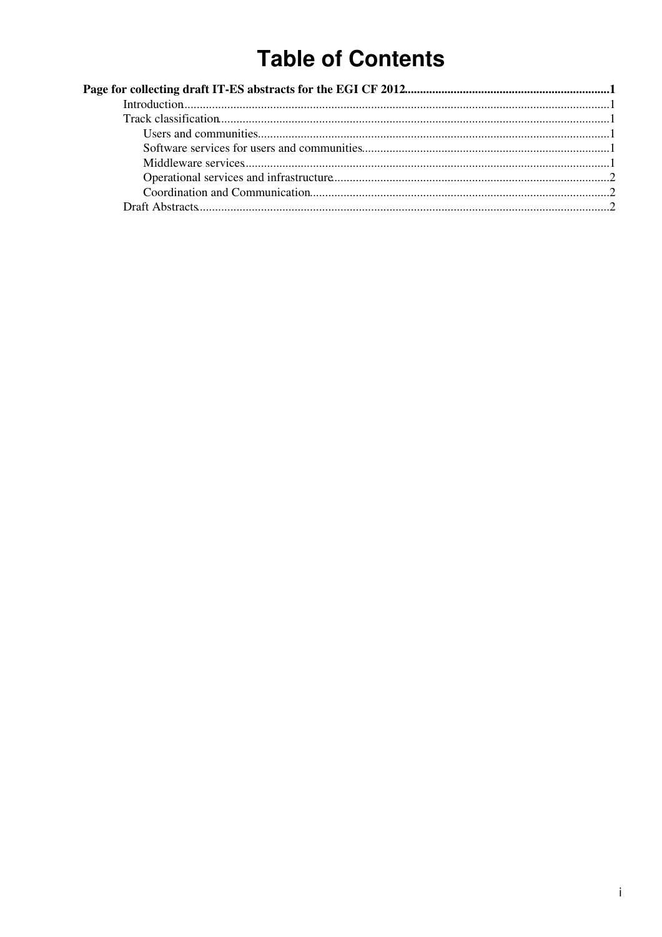# **Table of Contents**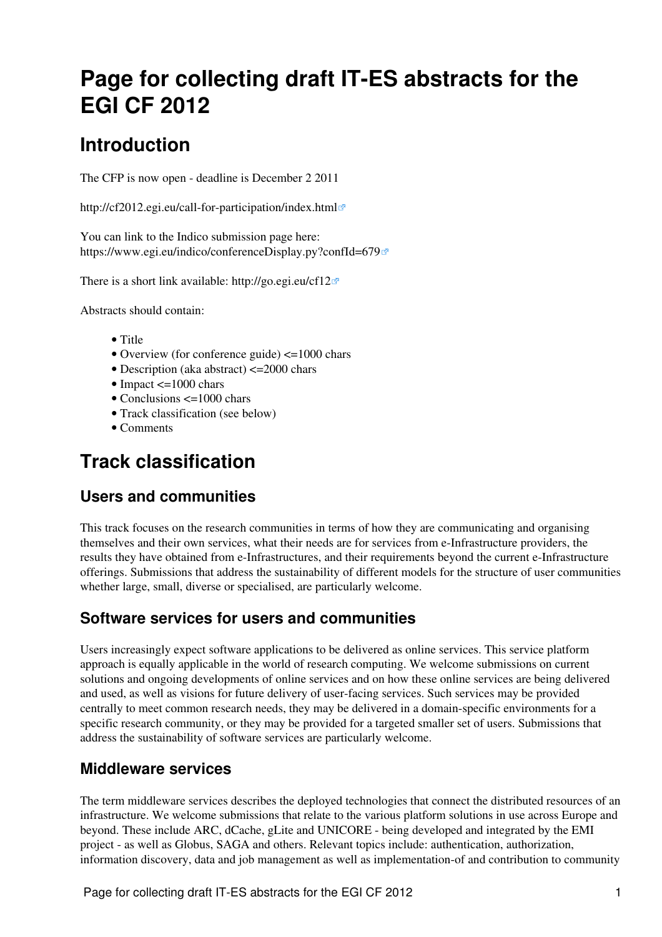# <span id="page-1-0"></span>**Page for collecting draft IT-ES abstracts for the EGI CF 2012**

## <span id="page-1-1"></span>**Introduction**

The CFP is now open - deadline is December 2 2011

<http://cf2012.egi.eu/call-for-participation/index.html>

You can link to the Indico submission page here: <https://www.egi.eu/indico/conferenceDisplay.py?confId=679>

There is a short link available:<http://go.egi.eu/cf12>

Abstracts should contain:

- Title
- Overview (for conference guide) <=1000 chars
- Description (aka abstract) <= 2000 chars
- Impact  $\leq$  =1000 chars
- Conclusions  $\leq 1000$  chars
- Track classification (see below)
- Comments

## <span id="page-1-2"></span>**Track classification**

#### <span id="page-1-3"></span>**Users and communities**

This track focuses on the research communities in terms of how they are communicating and organising themselves and their own services, what their needs are for services from e-Infrastructure providers, the results they have obtained from e-Infrastructures, and their requirements beyond the current e-Infrastructure offerings. Submissions that address the sustainability of different models for the structure of user communities whether large, small, diverse or specialised, are particularly welcome.

#### <span id="page-1-4"></span>**Software services for users and communities**

Users increasingly expect software applications to be delivered as online services. This service platform approach is equally applicable in the world of research computing. We welcome submissions on current solutions and ongoing developments of online services and on how these online services are being delivered and used, as well as visions for future delivery of user-facing services. Such services may be provided centrally to meet common research needs, they may be delivered in a domain-specific environments for a specific research community, or they may be provided for a targeted smaller set of users. Submissions that address the sustainability of software services are particularly welcome.

#### <span id="page-1-5"></span>**Middleware services**

The term middleware services describes the deployed technologies that connect the distributed resources of an infrastructure. We welcome submissions that relate to the various platform solutions in use across Europe and beyond. These include ARC, dCache, gLite and UNICORE - being developed and integrated by the EMI project - as well as Globus, SAGA and others. Relevant topics include: authentication, authorization, information discovery, data and job management as well as implementation-of and contribution to community